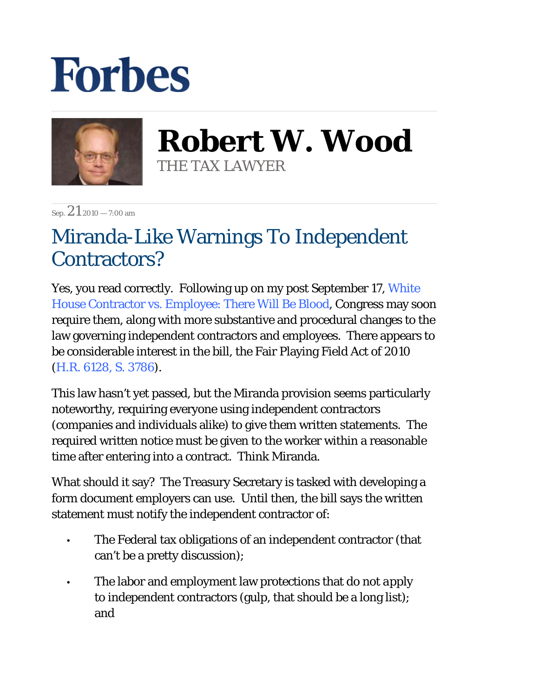## **Forbes**



**Robert W. Wood** THE TAX LAWYER

Sep.  $21$  2010 – 7:00 am

## Miranda-Like Warnings To Independent Contractors?

Yes, you read correctly. Following up on my post September 17, White House Contractor vs. Employee: There Will Be Blood, Congress may soon require them, along with more substantive and procedural changes to the law governing independent contractors and employees. There appears to be considerable interest in the bill, the Fair Playing Field Act of 2010 (H.R. 6128, S. 3786).

This law hasn't yet passed, but the Miranda provision seems particularly noteworthy, requiring everyone using independent contractors (companies and individuals alike) to give them written statements. The required written notice must be given to the worker within a reasonable time after entering into a contract. Think Miranda.

What should it say? The Treasury Secretary is tasked with developing a form document employers can use. Until then, the bill says the written statement must notify the independent contractor of:

- The Federal tax obligations of an independent contractor (that can't be a pretty discussion); •
- The labor and employment law protections that *do not apply* to independent contractors (gulp, that should be a long list); and •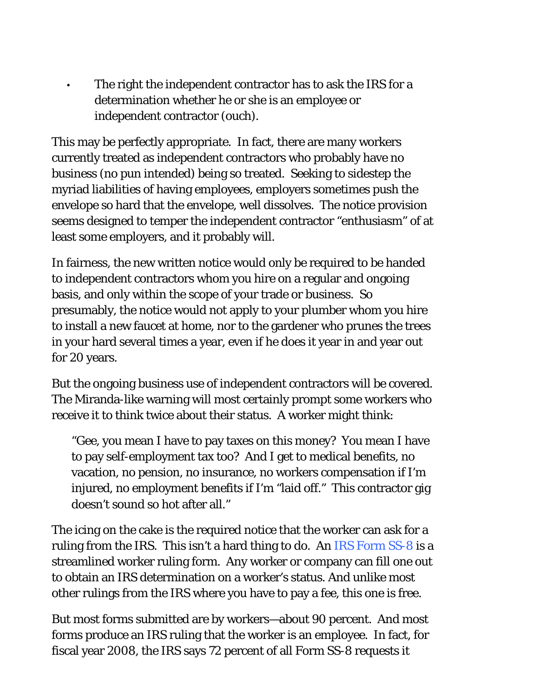The right the independent contractor has to ask the IRS for a determination whether he or she is an employee or independent contractor (ouch).

•

This may be perfectly appropriate. In fact, there are many workers currently treated as independent contractors who probably have no business (no pun intended) being so treated. Seeking to sidestep the myriad liabilities of having employees, employers sometimes push the envelope so hard that the envelope, well dissolves. The notice provision seems designed to temper the independent contractor "enthusiasm" of at least some employers, and it probably will.

In fairness, the new written notice would only be required to be handed to independent contractors whom you hire on a regular and ongoing basis, and only within the scope of your trade or business. So presumably, the notice would not apply to your plumber whom you hire to install a new faucet at home, nor to the gardener who prunes the trees in your hard several times a year, even if he does it year in and year out for 20 years.

But the ongoing business use of independent contractors will be covered. The Miranda-like warning will most certainly prompt some workers who receive it to think twice about their status. A worker might think:

"Gee, you mean I have to pay taxes on this money? You mean I have to pay self-employment tax too? And I get to medical benefits, no vacation, no pension, no insurance, no workers compensation if I'm injured, no employment benefits if I'm "laid off." This contractor gig doesn't sound so hot after all."

The icing on the cake is the required notice that the worker can ask for a ruling from the IRS. This isn't a hard thing to do. An IRS Form SS-8 is a streamlined worker ruling form. Any worker or company can fill one out to obtain an IRS determination on a worker's status. And unlike most other rulings from the IRS where you have to pay a fee, this one is free.

But most forms submitted are by workers—about 90 percent. And most forms produce an IRS ruling that the worker is an employee. In fact, for fiscal year 2008, the IRS says 72 percent of all Form SS-8 requests it